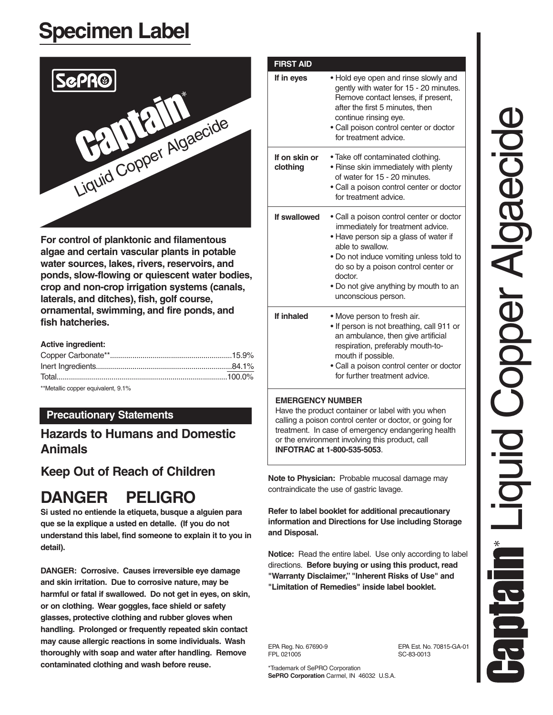# **Specimen Label**



**For control of planktonic and filamentous algae and certain vascular plants in potable water sources, lakes, rivers, reservoirs, and ponds, slow-flowing or quiescent water bodies, crop and non-crop irrigation systems (canals, laterals, and ditches), fish, golf course, ornamental, swimming, and fire ponds, and fish hatcheries.**

#### **Active ingredient:**

| $x * h A = L - H(x)$ |  |
|----------------------|--|

Metallic copper equivalent, 9.1%

# **Precautionary Statements**

# **Hazards to Humans and Domestic Animals**

# **Keep Out of Reach of Children**

# **DANGER PELIGRO**

**Si usted no entiende la etiqueta, busque a alguien para que se la explique a usted en detalle. (If you do not understand this label, find someone to explain it to you in detail).**

**DANGER: Corrosive. Causes irreversible eye damage and skin irritation. Due to corrosive nature, may be harmful or fatal if swallowed. Do not get in eyes, on skin, or on clothing. Wear goggles, face shield or safety glasses, protective clothing and rubber gloves when handling. Prolonged or frequently repeated skin contact may cause allergic reactions in some individuals. Wash thoroughly with soap and water after handling. Remove contaminated clothing and wash before reuse.**

| If in eyes                | . Hold eye open and rinse slowly and                                                                                                                                                                                                                                                                    |
|---------------------------|---------------------------------------------------------------------------------------------------------------------------------------------------------------------------------------------------------------------------------------------------------------------------------------------------------|
|                           | gently with water for 15 - 20 minutes.<br>Remove contact lenses, if present,<br>after the first 5 minutes, then<br>continue rinsing eye.<br>• Call poison control center or doctor<br>for treatment advice.                                                                                             |
| If on skin or<br>clothing | • Take off contaminated clothing.<br>• Rinse skin immediately with plenty<br>of water for 15 - 20 minutes.<br>• Call a poison control center or doctor<br>for treatment advice.                                                                                                                         |
| If swallowed              | • Call a poison control center or doctor<br>immediately for treatment advice.<br>• Have person sip a glass of water if<br>able to swallow.<br>• Do not induce vomiting unless told to<br>do so by a poison control center or<br>doctor.<br>• Do not give anything by mouth to an<br>unconscious person. |
| If inhaled                | • Move person to fresh air.<br>• If person is not breathing, call 911 or<br>an ambulance, then give artificial<br>respiration, preferably mouth-to-<br>mouth if possible.<br>· Call a poison control center or doctor<br>for further treatment advice.                                                  |

#### **EMERGENCY NUMBER**

Have the product container or label with you when calling a poison control center or doctor, or going for treatment. In case of emergency endangering health or the environment involving this product, call **INFOTRAC at 1-800-535-5053**.

**Note to Physician:** Probable mucosal damage may contraindicate the use of gastric lavage.

**Refer to label booklet for additional precautionary information and Directions for Use including Storage and Disposal.**

**Notice:** Read the entire label. Use only according to label directions. **Before buying or using this product, read "Warranty Disclaimer," "Inherent Risks of Use" and "Limitation of Remedies" inside label booklet.**

FPL 021005 SC-83-0013

EPA Reg. No. 67690-9 EPA Est. No. 70815-GA-01

\*Trademark of SePRO Corporation **SePRO Corporation** Carmel, IN 46032 U.S.A.

Liquid Copper Algaecide **PICIDED** E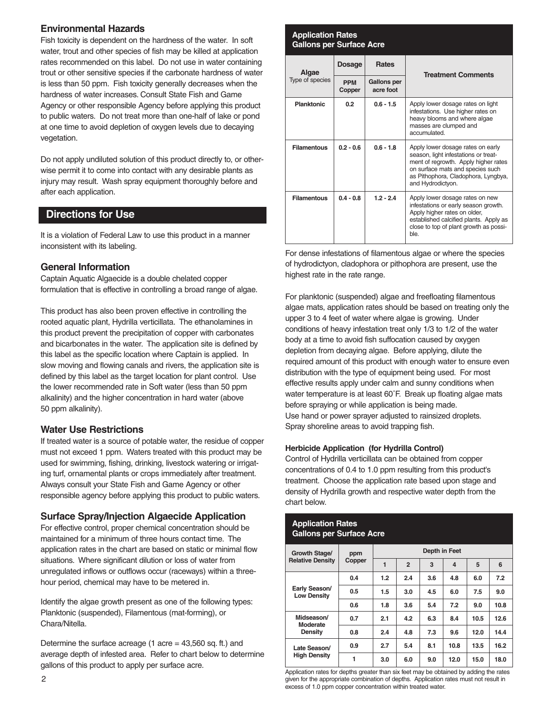#### **Environmental Hazards**

Fish toxicity is dependent on the hardness of the water. In soft water, trout and other species of fish may be killed at application rates recommended on this label. Do not use in water containing trout or other sensitive species if the carbonate hardness of water is less than 50 ppm. Fish toxicity generally decreases when the hardness of water increases. Consult State Fish and Game Agency or other responsible Agency before applying this product to public waters. Do not treat more than one-half of lake or pond at one time to avoid depletion of oxygen levels due to decaying vegetation.

Do not apply undiluted solution of this product directly to, or otherwise permit it to come into contact with any desirable plants as injury may result. Wash spray equipment thoroughly before and after each application.

# **Directions for Use**

It is a violation of Federal Law to use this product in a manner inconsistent with its labeling.

#### **General Information**

Captain Aquatic Algaecide is a double chelated copper formulation that is effective in controlling a broad range of algae.

This product has also been proven effective in controlling the rooted aquatic plant, Hydrilla verticillata. The ethanolamines in this product prevent the precipitation of copper with carbonates and bicarbonates in the water. The application site is defined by this label as the specific location where Captain is applied. In slow moving and flowing canals and rivers, the application site is defined by this label as the target location for plant control. Use the lower recommended rate in Soft water (less than 50 ppm alkalinity) and the higher concentration in hard water (above 50 ppm alkalinity).

#### **Water Use Restrictions**

If treated water is a source of potable water, the residue of copper must not exceed 1 ppm. Waters treated with this product may be used for swimming, fishing, drinking, livestock watering or irrigating turf, ornamental plants or crops immediately after treatment. Always consult your State Fish and Game Agency or other responsible agency before applying this product to public waters.

#### **Surface Spray/Injection Algaecide Application**

For effective control, proper chemical concentration should be maintained for a minimum of three hours contact time. The application rates in the chart are based on static or minimal flow situations. Where significant dilution or loss of water from unregulated inflows or outflows occur (raceways) within a threehour period, chemical may have to be metered in.

Identify the algae growth present as one of the following types: Planktonic (suspended), Filamentous (mat-forming), or Chara/Nitella.

Determine the surface acreage  $(1 \text{ acre} = 43,560 \text{ sq. ft.})$  and average depth of infested area. Refer to chart below to determine gallons of this product to apply per surface acre.

#### **Application Rates Gallons per Surface Acre**

| Algae              | Dosage               | <b>Rates</b>                    | <b>Treatment Comments</b>                                                                                                                                                                                         |
|--------------------|----------------------|---------------------------------|-------------------------------------------------------------------------------------------------------------------------------------------------------------------------------------------------------------------|
| Type of species    | <b>PPM</b><br>Copper | <b>Gallons per</b><br>acre foot |                                                                                                                                                                                                                   |
| <b>Planktonic</b>  | 0.2                  | $0.6 - 1.5$                     | Apply lower dosage rates on light<br>infestations. Use higher rates on<br>heavy blooms and where algae<br>masses are clumped and<br>accumulated                                                                   |
| <b>Filamentous</b> | $0.2 - 0.6$          | $0.6 - 1.8$                     | Apply lower dosage rates on early<br>season, light infestations or treat-<br>ment of regrowth. Apply higher rates<br>on surface mats and species such<br>as Pithophora, Cladophora, Lyngbya,<br>and Hydrodictyon. |
| <b>Filamentous</b> | $0.4 - 0.8$          | $1.2 - 2.4$                     | Apply lower dosage rates on new<br>infestations or early season growth.<br>Apply higher rates on older,<br>established calcified plants. Apply as<br>close to top of plant growth as possi-<br><b>ble</b>         |

For dense infestations of filamentous algae or where the species of hydrodictyon, cladophora or pithophora are present, use the highest rate in the rate range.

For planktonic (suspended) algae and freefloating filamentous algae mats, application rates should be based on treating only the upper 3 to 4 feet of water where algae is growing. Under conditions of heavy infestation treat only 1/3 to 1/2 of the water body at a time to avoid fish suffocation caused by oxygen depletion from decaying algae. Before applying, dilute the required amount of this product with enough water to ensure even distribution with the type of equipment being used. For most effective results apply under calm and sunny conditions when water temperature is at least 60˚F. Break up floating algae mats before spraying or while application is being made. Use hand or power sprayer adjusted to rainsized droplets. Spray shoreline areas to avoid trapping fish.

#### **Herbicide Application (for Hydrilla Control)**

Control of Hydrilla verticillata can be obtained from copper concentrations of 0.4 to 1.0 ppm resulting from this product's treatment. Choose the application rate based upon stage and density of Hydrilla growth and respective water depth from the chart below.

| <b>Application Rates</b><br><b>Gallons per Surface Acre</b> |        |                |                |     |                         |      |      |
|-------------------------------------------------------------|--------|----------------|----------------|-----|-------------------------|------|------|
| Growth Stage/<br><b>Relative Density</b>                    | ppm    | Depth in Feet  |                |     |                         |      |      |
|                                                             | Copper | $\overline{1}$ | $\overline{2}$ | 3   | $\overline{\mathbf{A}}$ | 5    | 6    |
| Early Season/<br><b>Low Density</b>                         | 0.4    | 1.2            | 2.4            | 3.6 | 4.8                     | 6.0  | 7.2  |
|                                                             | 0.5    | 1.5            | 3.0            | 4.5 | 6.0                     | 7.5  | 9.0  |
|                                                             | 0.6    | 1.8            | 3.6            | 5.4 | 7.2                     | 9.0  | 10.8 |
| Midseason/<br>Moderate<br>Density                           | 0.7    | 2.1            | 4.2            | 6.3 | 8.4                     | 10.5 | 12.6 |
|                                                             | 0.8    | 2.4            | 4.8            | 7.3 | 9.6                     | 12.0 | 14.4 |
| Late Season/<br><b>High Density</b>                         | 0.9    | 2.7            | 5.4            | 8.1 | 10.8                    | 13.5 | 16.2 |
|                                                             | 1      | 3.0            | 6.0            | 9.0 | 12.0                    | 15.0 | 18.0 |

Application rates for depths greater than six feet may be obtained by adding the rates given for the appropriate combination of depths. Application rates must not result in excess of 1.0 ppm copper concentration within treated water.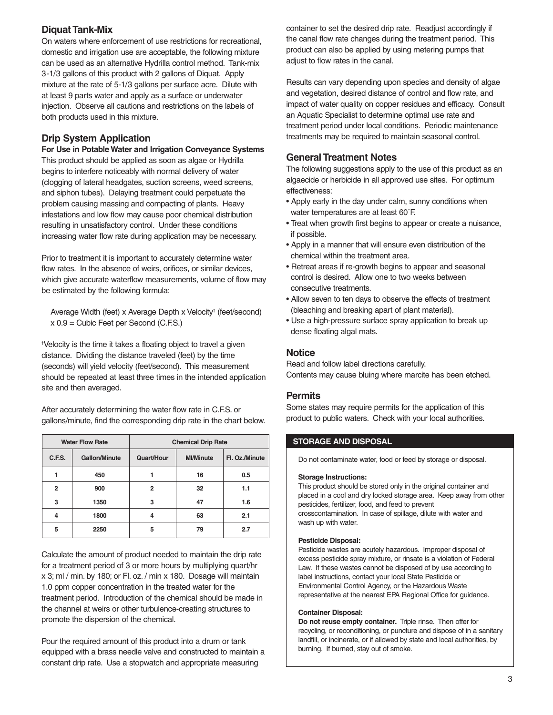# **Diquat Tank-Mix**

On waters where enforcement of use restrictions for recreational, domestic and irrigation use are acceptable, the following mixture can be used as an alternative Hydrilla control method. Tank-mix 3-1/3 gallons of this product with 2 gallons of Diquat. Apply mixture at the rate of 5-1/3 gallons per surface acre. Dilute with at least 9 parts water and apply as a surface or underwater injection. Observe all cautions and restrictions on the labels of both products used in this mixture.

# **Drip System Application**

**For Use in Potable Water and Irrigation Conveyance Systems** This product should be applied as soon as algae or Hydrilla begins to interfere noticeably with normal delivery of water (clogging of lateral headgates, suction screens, weed screens, and siphon tubes). Delaying treatment could perpetuate the problem causing massing and compacting of plants. Heavy infestations and low flow may cause poor chemical distribution resulting in unsatisfactory control. Under these conditions increasing water flow rate during application may be necessary.

Prior to treatment it is important to accurately determine water flow rates. In the absence of weirs, orifices, or similar devices, which give accurate waterflow measurements, volume of flow may be estimated by the following formula:

Average Width (feet) x Average Depth x Velocity† (feet/second) x 0.9 = Cubic Feet per Second (C.F.S.)

† Velocity is the time it takes a floating object to travel a given distance. Dividing the distance traveled (feet) by the time (seconds) will yield velocity (feet/second). This measurement should be repeated at least three times in the intended application site and then averaged.

After accurately determining the water flow rate in C.F.S. or gallons/minute, find the corresponding drip rate in the chart below.

| <b>Water Flow Rate</b> |               | <b>Chemical Drip Rate</b>      |    |                |  |
|------------------------|---------------|--------------------------------|----|----------------|--|
| C.F.S.                 | Gallon/Minute | <b>MI/Minute</b><br>Quart/Hour |    | Fl. Oz./Minute |  |
|                        | 450           |                                | 16 | 0.5            |  |
| $\overline{2}$         | 900           | 2                              | 32 | 1.1            |  |
| 3                      | 1350          | 3                              | 47 | 1.6            |  |
| 4                      | 1800          | 4                              | 63 | 2.1            |  |
| 5                      | 2250          | 5                              | 79 | 2.7            |  |

Calculate the amount of product needed to maintain the drip rate for a treatment period of 3 or more hours by multiplying quart/hr x 3; ml / min. by 180; or Fl. oz. / min x 180. Dosage will maintain 1.0 ppm copper concentration in the treated water for the treatment period. Introduction of the chemical should be made in the channel at weirs or other turbulence-creating structures to promote the dispersion of the chemical.

Pour the required amount of this product into a drum or tank equipped with a brass needle valve and constructed to maintain a constant drip rate. Use a stopwatch and appropriate measuring

container to set the desired drip rate. Readjust accordingly if the canal flow rate changes during the treatment period. This product can also be applied by using metering pumps that adjust to flow rates in the canal.

Results can vary depending upon species and density of algae and vegetation, desired distance of control and flow rate, and impact of water quality on copper residues and efficacy. Consult an Aquatic Specialist to determine optimal use rate and treatment period under local conditions. Periodic maintenance treatments may be required to maintain seasonal control.

## **General Treatment Notes**

The following suggestions apply to the use of this product as an algaecide or herbicide in all approved use sites. For optimum effectiveness:

- Apply early in the day under calm, sunny conditions when water temperatures are at least 60˚F.
- Treat when growth first begins to appear or create a nuisance, if possible.
- Apply in a manner that will ensure even distribution of the chemical within the treatment area.
- Retreat areas if re-growth begins to appear and seasonal control is desired. Allow one to two weeks between consecutive treatments.
- Allow seven to ten days to observe the effects of treatment (bleaching and breaking apart of plant material).
- Use a high-pressure surface spray application to break up dense floating algal mats.

## **Notice**

Read and follow label directions carefully. Contents may cause bluing where marcite has been etched.

#### **Permits**

Some states may require permits for the application of this product to public waters. Check with your local authorities.

#### **STORAGE AND DISPOSAL**

Do not contaminate water, food or feed by storage or disposal.

#### **Storage Instructions:**

This product should be stored only in the original container and placed in a cool and dry locked storage area. Keep away from other pesticides, fertilizer, food, and feed to prevent crosscontamination. In case of spillage, dilute with water and wash up with water.

#### **Pesticide Disposal:**

Pesticide wastes are acutely hazardous. Improper disposal of excess pesticide spray mixture, or rinsate is a violation of Federal Law. If these wastes cannot be disposed of by use according to label instructions, contact your local State Pesticide or Environmental Control Agency, or the Hazardous Waste representative at the nearest EPA Regional Office for guidance.

#### **Container Disposal:**

**Do not reuse empty container.** Triple rinse. Then offer for recycling, or reconditioning, or puncture and dispose of in a sanitary landfill, or incinerate, or if allowed by state and local authorities, by burning. If burned, stay out of smoke.